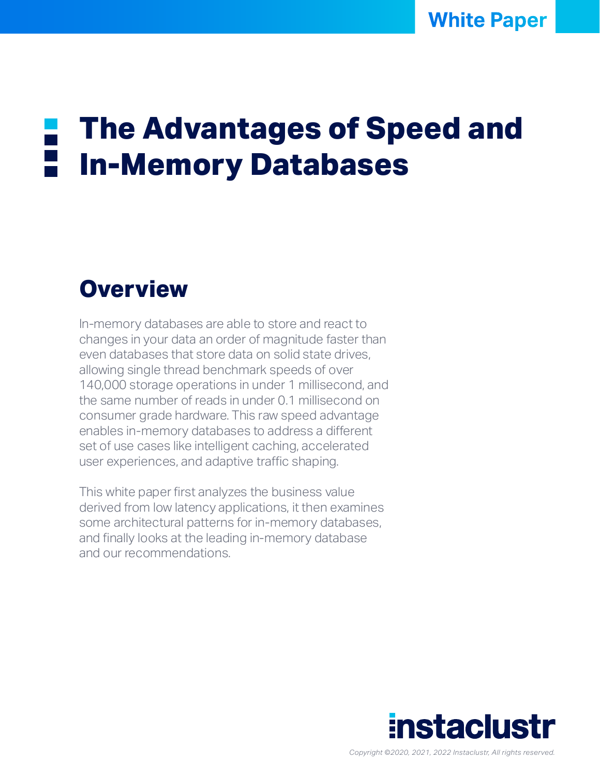# **The Advantages of Speed and In-Memory Databases**

# **Overview**

In-memory databases are able to store and react to changes in your data an order of magnitude faster than even databases that store data on solid state drives. allowing single thread benchmark speeds of over 140,000 storage operations in under 1 millisecond, and the same number of reads in under 0.1 millisecond on consumer grade hardware. This raw speed advantage enables in-memory databases to address a different set of use cases like intelligent caching, accelerated user experiences, and adaptive traffic shaping.

This white paper first analyzes the business value derived from low latency applications, it then examines some architectural patterns for in-memory databases, and finally looks at the leading in-memory database and our recommendations.

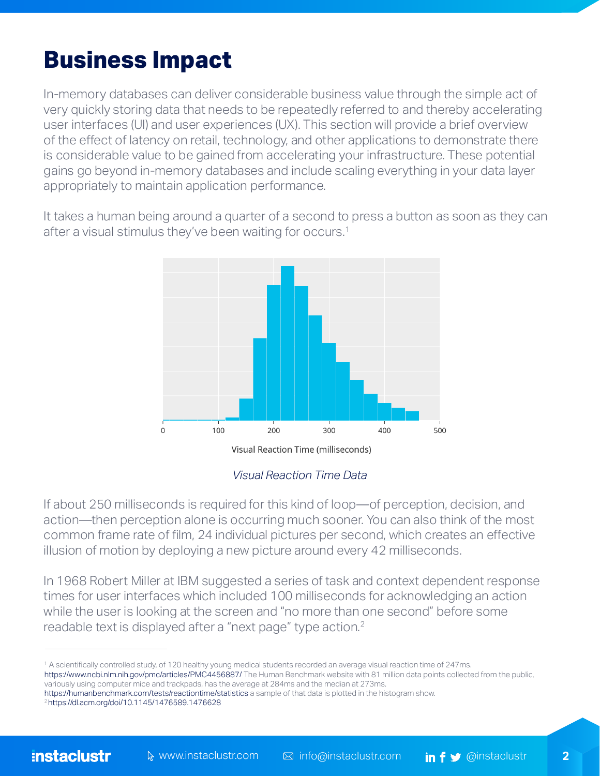# **Business Impact**

In-memory databases can deliver considerable business value through the simple act of very quickly storing data that needs to be repeatedly referred to and thereby accelerating user interfaces (UI) and user experiences (UX). This section will provide a brief overview of the effect of latency on retail, technology, and other applications to demonstrate there is considerable value to be gained from accelerating your infrastructure. These potential gains go beyond in-memory databases and include scaling everything in your data layer appropriately to maintain application performance.

It takes a human being around a quarter of a second to press a button as soon as they can after a visual stimulus they've been waiting for occurs.<sup>1</sup>



#### *Visual Reaction Time Data*

If about 250 milliseconds is required for this kind of loop—of perception, decision, and action—then perception alone is occurring much sooner. You can also think of the most common frame rate of film, 24 individual pictures per second, which creates an effective illusion of motion by deploying a new picture around every 42 milliseconds.

In 1968 Robert Miller at IBM suggested a series of task and context dependent response times for user interfaces which included 100 milliseconds for acknowledging an action while the user is looking at the screen and "no more than one second" before some readable text is displayed after a "next page" type action.<sup>2</sup>

<sup>1</sup> A scientifically controlled study, of 120 healthy young medical students recorded an average visual reaction time of 247ms. <https://www.ncbi.nlm.nih.gov/pmc/articles/PMC4456887/> The Human Benchmark website with 81 million data points collected from the public, variously using computer mice and trackpads, has the average at 284ms and the median at 273ms.

[https://humanbenchmark.com/tests/reactiontime/](https://humanbenchmark.com/tests/reactiontime/statistics)[st](https://dl.acm.org/doi/10.1145/1476589.1476628)atisticsa sample of that data is plotted in the histogram show.<br><sup>2</sup> https://dl.acm.org/doi/10.1145/1476589.1476628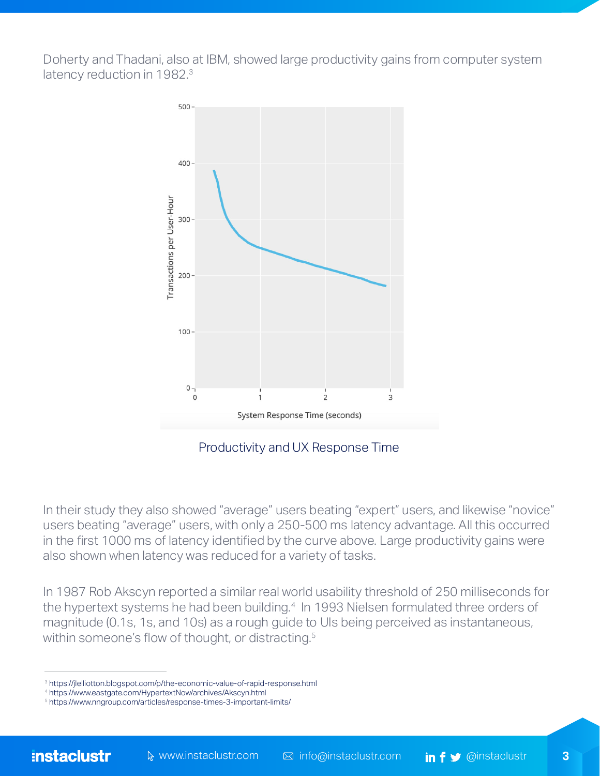Doherty and Thadani, also at IBM, showed large productivity gains from computer system latency reduction in 1982.<sup>3</sup>



Productivity and UX Response Time

In their study they also showed "average" users beating "expert" users, and likewise "novice" users beating "average" users, with only a 250-500 ms latency advantage. All this occurred in the first 1000 ms of latency identified by the curve above. Large productivity gains were also shown when latency was reduced for a variety of tasks.

In 1987 Rob Akscyn reported a similar real world usability threshold of 250 milliseconds for the hypertext systems he had been building.<sup>4</sup> In 1993 Nielsen formulated three orders of magnitude (0.1s, 1s, and 10s) as a rough guide to UIs being perceived as instantaneous, within someone's flow of thought, or distracting.<sup>5</sup>

[<sup>3</sup>](https://jlelliotton.blogspot.com/p/the-economic-value-of-rapid-response.html
) <https://jlelliotton.blogspot.com/p/the-economic-value-of-rapid-response.html>

<sup>4</sup> <https://www.eastgate.com/HypertextNow/archives/Akscyn.html>

<sup>5</sup> <https://www.nngroup.com/articles/response-times-3-important-limits/>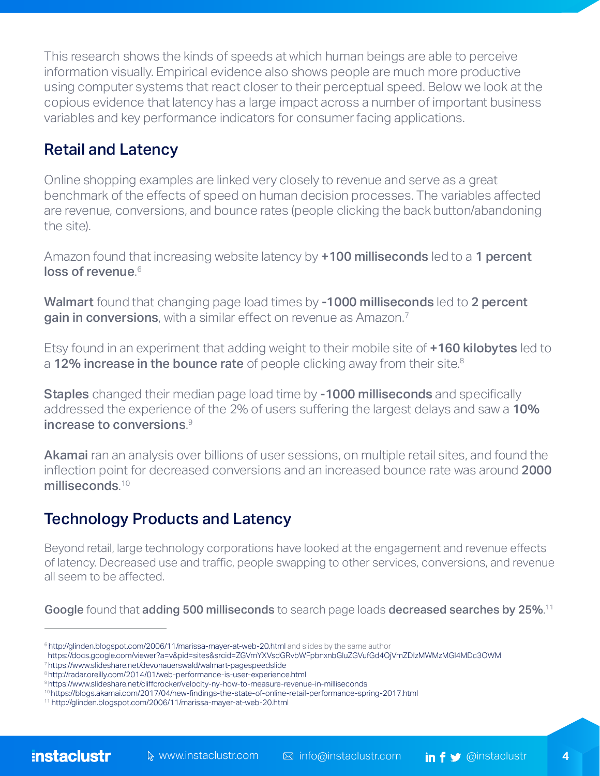This research shows the kinds of speeds at which human beings are able to perceive information visually. Empirical evidence also shows people are much more productive using computer systems that react closer to their perceptual speed. Below we look at the copious evidence that latency has a large impact across a number of important business variables and key performance indicators for consumer facing applications.

#### Retail and Latency

Online shopping examples are linked very closely to revenue and serve as a great benchmark of the effects of speed on human decision processes. The variables affected are revenue, conversions, and bounce rates (people clicking the back button/abandoning the site).

Amazon found that increasing website latency by +100 milliseconds led to a 1 percent loss of revenue. 6

Walmart found that changing page load times by -1000 milliseconds led to 2 percent gain in conversions, with a similar effect on revenue as Amazon.<sup>7</sup>

Etsy found in an experiment that adding weight to their mobile site of **+160 kilobytes** led to a 12% increase in the bounce rate of people clicking away from their site.<sup>8</sup>

Staples changed their median page load time by -1000 milliseconds and specifically addressed the experience of the 2% of users suffering the largest delays and saw a 10% increase to conversions. $^\circ$ 

Akamai ran an analysis over billions of user sessions, on multiple retail sites, and found the inflection point for decreased conversions and an increased bounce rate was around 2000 milliseconds.<sup>10</sup>

### Technology Products and Latency

Beyond retail, large technology corporations have looked at the engagement and revenue effects of latency. Decreased use and traffic, people swapping to other services, conversions, and revenue all seem to be affected.

**Google** found that **adding 500 milliseconds** to search page loads **decreased searches by 25%**.<sup>11</sup>

<sup>&</sup>lt;sup>6</sup> <http://glinden.blogspot.com/2006/11/marissa-mayer-at-web-20.html> and slides by the same author

https://docs.google.com/viewer?a=v&pid=sites&srcid=ZGVmYXVsdGRvbWFpbnxnbGluZGVufGd4OjVmZDIzMWMzMGI4MDc3OWM

<sup>7</sup> <https://www.slideshare.net/devonauerswald/walmart-pagespeedslide>

<sup>8</sup><http://radar.oreilly.com/2014/01/web-performance-is-user-experience.html>

<sup>9</sup><https://www.slideshare.net/cliffcrocker/velocity-ny-how-to-measure-revenue-in-milliseconds>

<sup>10</sup>[https://blogs.akamai.com/2017/04/new-findings-the-state-of-online-retail-performance-spring-2017.html](https://blogs.akamai.com/2017/04/new-findings-the-state-of-online-retail-performance-spring-2017.htm)

<sup>11</sup> <http://glinden.blogspot.com/2006/11/marissa-mayer-at-web-20.html>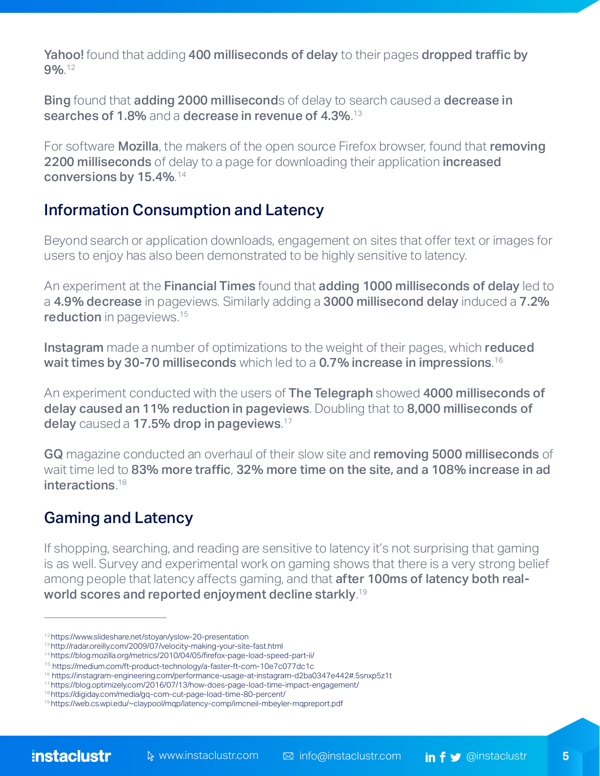Yahoo! found that adding 400 milliseconds of delay to their pages dropped traffic by  $9\%$ .<sup>12</sup>

**Bing** found that **adding 2000 millisecond**s of delay to search caused a **decrease in** searches of 1.8% and a decrease in revenue of  $4.3\%$ . $^{13}$ 

For software **Mozilla**, the makers of the open source Firefox browser, found that removing 2200 milliseconds of delay to a page for downloading their application increased conversions by  $15.4\%$ .  $14$ 

#### Information Consumption and Latency

Beyond search or application downloads, engagement on sites that offer text or images for users to enjoy has also been demonstrated to be highly sensitive to latency.

An experiment at the Financial Times found that adding 1000 milliseconds of delay led to a 4.9% decrease in pageviews. Similarly adding a 3000 millisecond delay induced a 7.2% reduction in pageviews.<sup>15</sup>

**Instagram** made a number of optimizations to the weight of their pages, which **reduced wait times by 30-70 milliseconds** which led to a  $0.7\%$  i<mark>ncrease in impressions.  $^{16}$ </mark>

An experiment conducted with the users of The Telegraph showed 4000 milliseconds of delay caused an 11% reduction in pageviews. Doubling that to 8,000 milliseconds of delay caused a 17.5% drop in pageviews. $17$ 

GQ magazine conducted an overhaul of their slow site and removing 5000 milliseconds of wait time led to 83% more traffic, 32% more time on the site, and a 108% increase in ad interactions. 18

#### Gaming and Latency

If shopping, searching, and reading are sensitive to latency it's not surprising that gaming is as well. Survey and experimental work on gaming shows that there is a very strong belief among people that latency affects gaming, and that **after 100ms of latency both real**world scores and reported enjoyment decline starkly. $^{\textrm{\tiny{19}}}$ 

<sup>12</sup> <https://www.slideshare.net/stoyan/yslow-20-presentation>

<sup>13</sup> <http://radar.oreilly.com/2009/07/velocity-making-your-site-fast.html>

<sup>14</sup><https://blog.mozilla.org/metrics/2010/04/05/firefox-page-load-speed-part-ii/>

<sup>15</sup> <https://medium.com/ft-product-technology/a-faster-ft-com-10e7c077dc1c>

<sup>16</sup>[https://instagram-engineering.com/performance-usage-at-instagram-d2ba0347e442#.5snxp5z1t](https://instagram-engineering.com/performance-usage-at-instagram-d2ba0347e442#.5snxp5z1t
)

<sup>17</sup> <https://blog.optimizely.com/2016/07/13/how-does-page-load-time-impact-engagement/>

<sup>18</sup> <https://digiday.com/media/gq-com-cut-page-load-time-80-percent/>

<sup>19</sup> <https://web.cs.wpi.edu/~claypool/mqp/latency-comp/imcneil-mbeyler-mqpreport.pdf>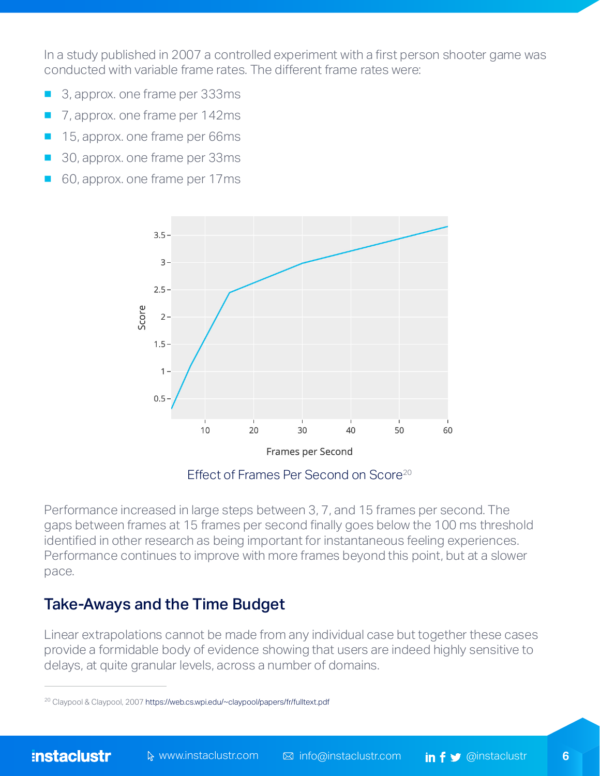In a study published in 2007 a controlled experiment with a first person shooter game was conducted with variable frame rates. The different frame rates were:

- 3, approx. one frame per 333ms
- 7, approx. one frame per 142ms
- 15, approx. one frame per 66ms
- 30, approx. one frame per 33ms
- 60, approx. one frame per 17ms



Effect of Frames Per Second on Score<sup>20</sup>

Performance increased in large steps between 3, 7, and 15 frames per second. The gaps between frames at 15 frames per second finally goes below the 100 ms threshold identified in other research as being important for instantaneous feeling experiences. Performance continues to improve with more frames beyond this point, but at a slower pace.

#### Take-Aways and the Time Budget

Linear extrapolations cannot be made from any individual case but together these cases provide a formidable body of evidence showing that users are indeed highly sensitive to delays, at quite granular levels, across a number of domains.

<sup>&</sup>lt;sup>20</sup> Claypool & Claypool, 2007 <https://web.cs.wpi.edu/~claypool/papers/fr/fulltext.pdf>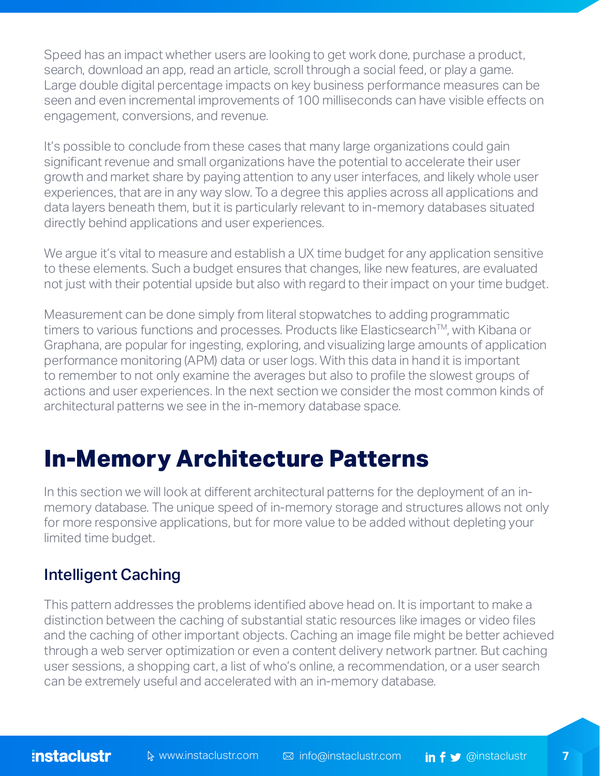Speed has an impact whether users are looking to get work done, purchase a product, search, download an app, read an article, scroll through a social feed, or play a game. Large double digital percentage impacts on key business performance measures can be seen and even incremental improvements of 100 milliseconds can have visible effects on engagement, conversions, and revenue.

It's possible to conclude from these cases that many large organizations could gain significant revenue and small organizations have the potential to accelerate their user growth and market share by paying attention to any user interfaces, and likely whole user experiences, that are in any way slow. To a degree this applies across all applications and data layers beneath them, but it is particularly relevant to in-memory databases situated directly behind applications and user experiences.

We argue it's vital to measure and establish a UX time budget for any application sensitive to these elements. Such a budget ensures that changes, like new features, are evaluated not just with their potential upside but also with regard to their impact on your time budget.

Measurement can be done simply from literal stopwatches to adding programmatic timers to various functions and processes. Products like Elasticsearch™, with Kibana or Graphana, are popular for ingesting, exploring, and visualizing large amounts of application performance monitoring (APM) data or user logs. With this data in hand it is important to remember to not only examine the averages but also to profile the slowest groups of actions and user experiences. In the next section we consider the most common kinds of architectural patterns we see in the in-memory database space.

# **In-Memory Architecture Patterns**

In this section we will look at different architectural patterns for the deployment of an inmemory database. The unique speed of in-memory storage and structures allows not only for more responsive applications, but for more value to be added without depleting your limited time budget.

#### Intelligent Caching

This pattern addresses the problems identified above head on. It is important to make a distinction between the caching of substantial static resources like images or video files and the caching of other important objects. Caching an image file might be better achieved through a web server optimization or even a content delivery network partner. But caching user sessions, a shopping cart, a list of who's online, a recommendation, or a user search can be extremely useful and accelerated with an in-memory database.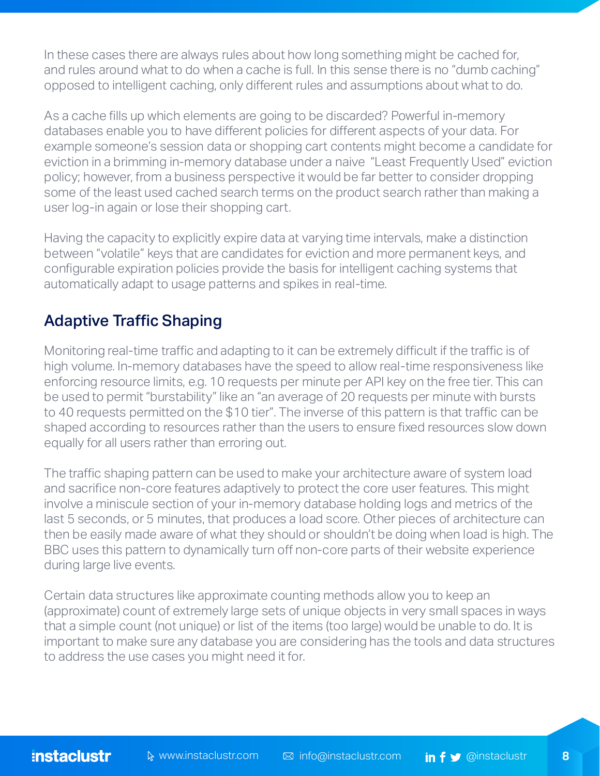In these cases there are always rules about how long something might be cached for, and rules around what to do when a cache is full. In this sense there is no "dumb caching" opposed to intelligent caching, only different rules and assumptions about what to do.

As a cache fills up which elements are going to be discarded? Powerful in-memory databases enable you to have different policies for different aspects of your data. For example someone's session data or shopping cart contents might become a candidate for eviction in a brimming in-memory database under a naive "Least Frequently Used" eviction policy; however, from a business perspective it would be far better to consider dropping some of the least used cached search terms on the product search rather than making a user log-in again or lose their shopping cart.

Having the capacity to explicitly expire data at varying time intervals, make a distinction between "volatile" keys that are candidates for eviction and more permanent keys, and configurable expiration policies provide the basis for intelligent caching systems that automatically adapt to usage patterns and spikes in real-time.

### Adaptive Traffic Shaping

Monitoring real-time traffic and adapting to it can be extremely difficult if the traffic is of high volume. In-memory databases have the speed to allow real-time responsiveness like enforcing resource limits, e.g. 10 requests per minute per API key on the free tier. This can be used to permit "burstability" like an "an average of 20 requests per minute with bursts to 40 requests permitted on the \$10 tier". The inverse of this pattern is that traffic can be shaped according to resources rather than the users to ensure fixed resources slow down equally for all users rather than erroring out.

The traffic shaping pattern can be used to make your architecture aware of system load and sacrifice non-core features adaptively to protect the core user features. This might involve a miniscule section of your in-memory database holding logs and metrics of the last 5 seconds, or 5 minutes, that produces a load score. Other pieces of architecture can then be easily made aware of what they should or shouldn't be doing when load is high. The BBC uses this pattern to dynamically turn off non-core parts of their website experience during large live events.

Certain data structures like approximate counting methods allow you to keep an (approximate) count of extremely large sets of unique objects in very small spaces in ways that a simple count (not unique) or list of the items (too large) would be unable to do. It is important to make sure any database you are considering has the tools and data structures to address the use cases you might need it for.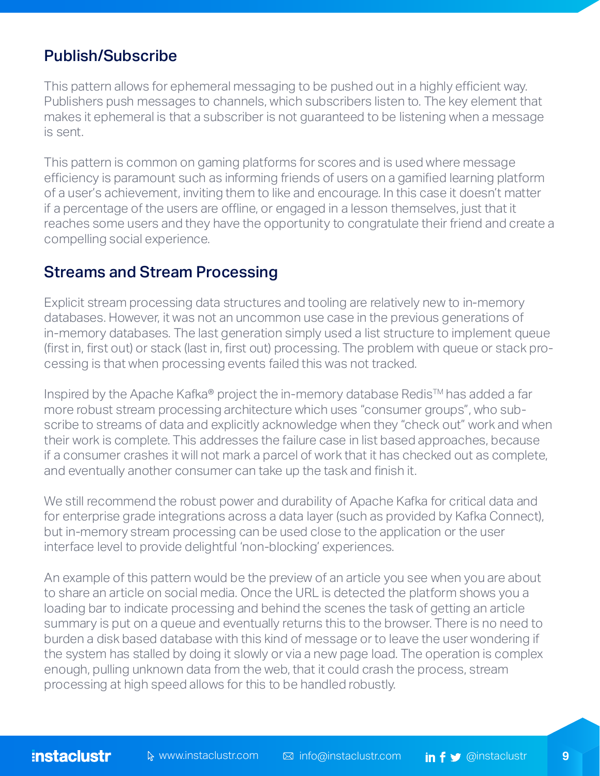#### Publish/Subscribe

This pattern allows for ephemeral messaging to be pushed out in a highly efficient way. Publishers push messages to channels, which subscribers listen to. The key element that makes it ephemeral is that a subscriber is not guaranteed to be listening when a message is sent.

This pattern is common on gaming platforms for scores and is used where message efficiency is paramount such as informing friends of users on a gamified learning platform of a user's achievement, inviting them to like and encourage. In this case it doesn't matter if a percentage of the users are offline, or engaged in a lesson themselves, just that it reaches some users and they have the opportunity to congratulate their friend and create a compelling social experience.

#### Streams and Stream Processing

Explicit stream processing data structures and tooling are relatively new to in-memory databases. However, it was not an uncommon use case in the previous generations of in-memory databases. The last generation simply used a list structure to implement queue (first in, first out) or stack (last in, first out) processing. The problem with queue or stack processing is that when processing events failed this was not tracked.

Inspired by the Apache Kafka® project the in-memory database Redis™ has added a far more robust stream processing architecture which uses "consumer groups", who subscribe to streams of data and explicitly acknowledge when they "check out" work and when their work is complete. This addresses the failure case in list based approaches, because if a consumer crashes it will not mark a parcel of work that it has checked out as complete, and eventually another consumer can take up the task and finish it.

We still recommend the robust power and durability of Apache Kafka for critical data and for enterprise grade integrations across a data layer (such as provided by Kafka Connect), but in-memory stream processing can be used close to the application or the user interface level to provide delightful 'non-blocking' experiences.

An example of this pattern would be the preview of an article you see when you are about to share an article on social media. Once the URL is detected the platform shows you a loading bar to indicate processing and behind the scenes the task of getting an article summary is put on a queue and eventually returns this to the browser. There is no need to burden a disk based database with this kind of message or to leave the user wondering if the system has stalled by doing it slowly or via a new page load. The operation is complex enough, pulling unknown data from the web, that it could crash the process, stream processing at high speed allows for this to be handled robustly.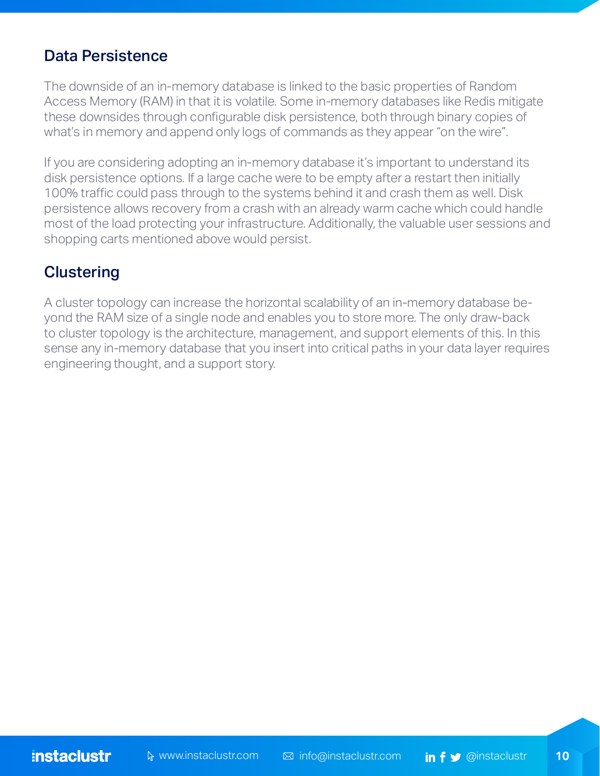#### Data Persistence

The downside of an in-memory database is linked to the basic properties of Random Access Memory (RAM) in that it is volatile. Some in-memory databases like Redis mitigate these downsides through configurable disk persistence, both through binary copies of what's in memory and append only logs of commands as they appear "on the wire".

If you are considering adopting an in-memory database it's important to understand its disk persistence options. If a large cache were to be empty after a restart then initially 100% traffic could pass through to the systems behind it and crash them as well. Disk persistence allows recovery from a crash with an already warm cache which could handle most of the load protecting your infrastructure. Additionally, the valuable user sessions and shopping carts mentioned above would persist.

#### **Clustering**

A cluster topology can increase the horizontal scalability of an in-memory database beyond the RAM size of a single node and enables you to store more. The only draw-back to cluster topology is the architecture, management, and support elements of this. In this sense any in-memory database that you insert into critical paths in your data layer requires engineering thought, and a support story.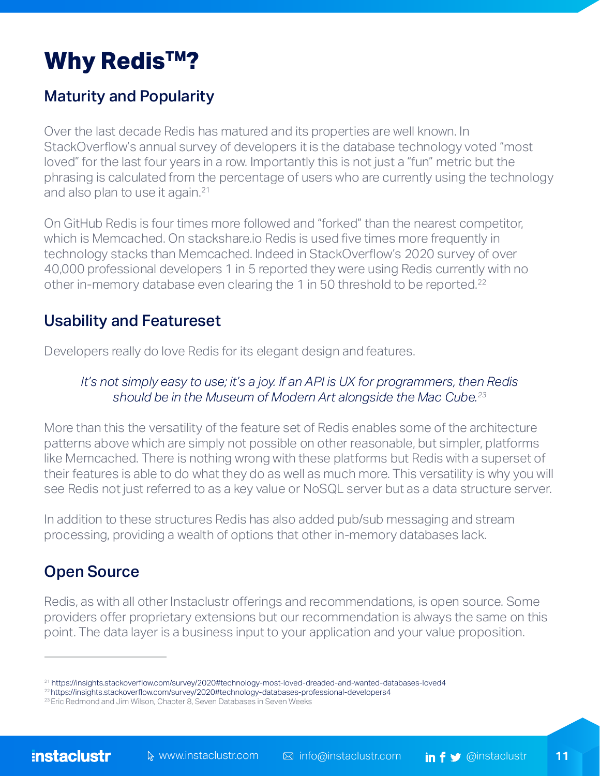# **Why Redis™?**

### Maturity and Popularity

Over the last decade Redis has matured and its properties are well known. In StackOverflow's annual survey of developers it is the database technology voted "most loved" for the last four years in a row. Importantly this is not just a "fun" metric but the phrasing is calculated from the percentage of users who are currently using the technology and also plan to use it again.<sup>21</sup>

On GitHub Redis is four times more followed and "forked" than the nearest competitor, which is Memcached. On stackshare.io Redis is used five times more frequently in technology stacks than Memcached. Indeed in StackOverflow's 2020 survey of over 40,000 professional developers 1 in 5 reported they were using Redis currently with no other in-memory database even clearing the 1 in 50 threshold to be reported.<sup>22</sup>

### Usability and Featureset

Developers really do love Redis for its elegant design and features.

#### *It's not simply easy to use; it's a joy. If an API is UX for programmers, then Redis should be in the Museum of Modern Art alongside the Mac Cube.23*

More than this the versatility of the feature set of Redis enables some of the architecture patterns above which are simply not possible on other reasonable, but simpler, platforms like Memcached. There is nothing wrong with these platforms but Redis with a superset of their features is able to do what they do as well as much more. This versatility is why you will see Redis not just referred to as a key value or NoSQL server but as a data structure server.

In addition to these structures Redis has also added pub/sub messaging and stream processing, providing a wealth of options that other in-memory databases lack.

### Open Source

Redis, as with all other Instaclustr offerings and recommendations, is open source. Some providers offer proprietary extensions but our recommendation is always the same on this point. The data layer is a business input to your application and your value proposition.

<sup>21</sup> <https://insights.stackoverflow.com/survey/2020#technology-most-loved-dreaded-and-wanted-databases-loved4>

<sup>22</sup>[https://insights.stackoverflow.com/survey/2020#technology-databases-professional-developers4](https://insights.stackoverflow.com/survey/2020#technology-databases-professional-developers4 
) 

<sup>&</sup>lt;sup>23</sup> Eric Redmond and Jim Wilson, Chapter 8, Seven Databases in Seven Weeks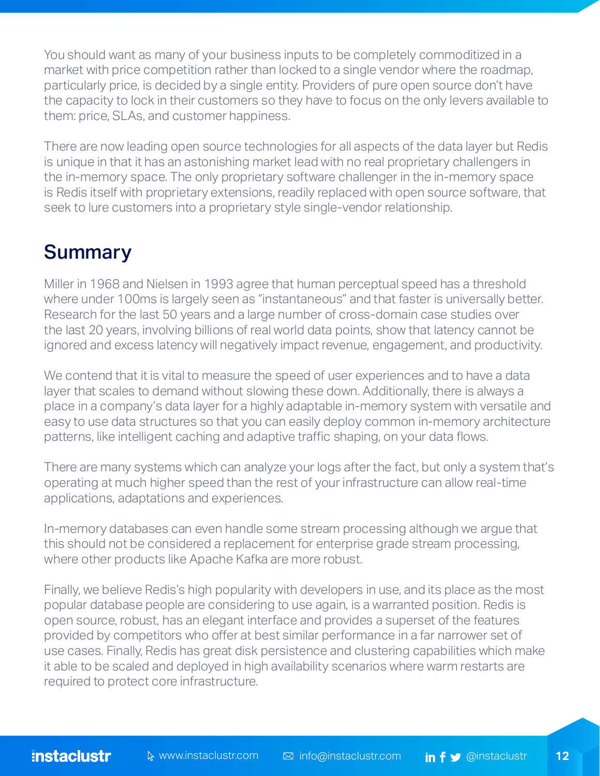You should want as many of your business inputs to be completely commoditized in a market with price competition rather than locked to a single vendor where the roadmap, particularly price, is decided by a single entity. Providers of pure open source don't have the capacity to lock in their customers so they have to focus on the only levers available to them: price, SLAs, and customer happiness.

There are now leading open source technologies for all aspects of the data layer but Redis is unique in that it has an astonishing market lead with no real proprietary challengers in the in-memory space. The only proprietary software challenger in the in-memory space is Redis itself with proprietary extensions, readily replaced with open source software, that seek to lure customers into a proprietary style single-vendor relationship.

### **Summary**

Miller in 1968 and Nielsen in 1993 agree that human perceptual speed has a threshold where under 100ms is largely seen as "instantaneous" and that faster is universally better. Research for the last 50 years and a large number of cross-domain case studies over the last 20 years, involving billions of real world data points, show that latency cannot be ignored and excess latency will negatively impact revenue, engagement, and productivity.

We contend that it is vital to measure the speed of user experiences and to have a data layer that scales to demand without slowing these down. Additionally, there is always a place in a company's data layer for a highly adaptable in-memory system with versatile and easy to use data structures so that you can easily deploy common in-memory architecture patterns, like intelligent caching and adaptive traffic shaping, on your data flows.

There are many systems which can analyze your logs after the fact, but only a system that's operating at much higher speed than the rest of your infrastructure can allow real-time applications, adaptations and experiences.

In-memory databases can even handle some stream processing although we argue that this should not be considered a replacement for enterprise grade stream processing, where other products like Apache Kafka are more robust.

Finally, we believe Redis's high popularity with developers in use, and its place as the most popular database people are considering to use again, is a warranted position. Redis is open source, robust, has an elegant interface and provides a superset of the features provided by competitors who offer at best similar performance in a far narrower set of use cases. Finally, Redis has great disk persistence and clustering capabilities which make it able to be scaled and deployed in high availability scenarios where warm restarts are required to protect core infrastructure.